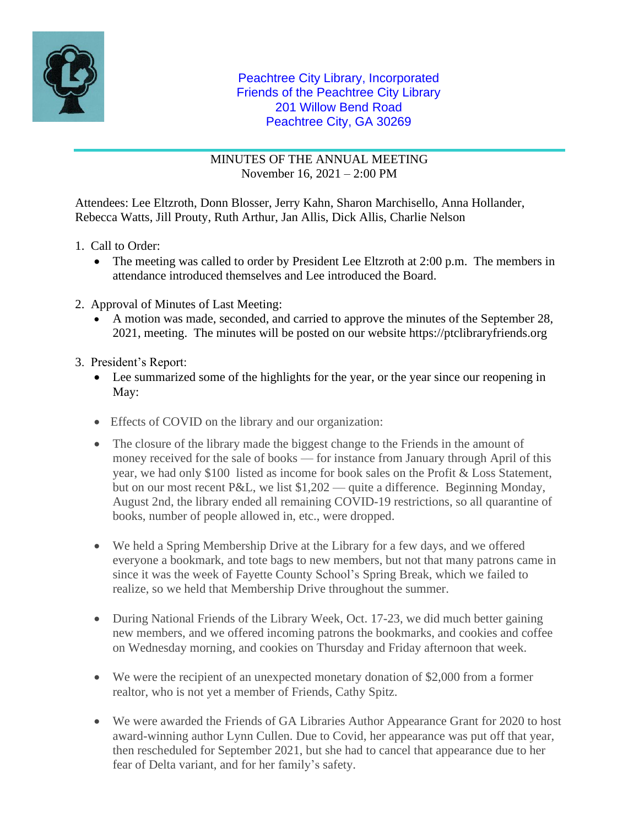

## Peachtree City Library, Incorporated Friends of the Peachtree City Library 201 Willow Bend Road Peachtree City, GA 30269

MINUTES OF THE ANNUAL MEETING November 16, 2021 – 2:00 PM

Attendees: Lee Eltzroth, Donn Blosser, Jerry Kahn, Sharon Marchisello, Anna Hollander, Rebecca Watts, Jill Prouty, Ruth Arthur, Jan Allis, Dick Allis, Charlie Nelson

- 1. Call to Order:
	- The meeting was called to order by President Lee Eltzroth at 2:00 p.m. The members in attendance introduced themselves and Lee introduced the Board.
- 2. Approval of Minutes of Last Meeting:
	- A motion was made, seconded, and carried to approve the minutes of the September 28, 2021, meeting. The minutes will be posted on our website https://ptclibraryfriends.org
- 3. President's Report:
	- Lee summarized some of the highlights for the year, or the year since our reopening in May:
	- Effects of COVID on the library and our organization:
	- The closure of the library made the biggest change to the Friends in the amount of money received for the sale of books — for instance from January through April of this year, we had only \$100 listed as income for book sales on the Profit & Loss Statement, but on our most recent P&L, we list \$1,202 — quite a difference. Beginning Monday, August 2nd, the library ended all remaining COVID-19 restrictions, so all quarantine of books, number of people allowed in, etc., were dropped.
	- We held a Spring Membership Drive at the Library for a few days, and we offered everyone a bookmark, and tote bags to new members, but not that many patrons came in since it was the week of Fayette County School's Spring Break, which we failed to realize, so we held that Membership Drive throughout the summer.
	- During National Friends of the Library Week, Oct. 17-23, we did much better gaining new members, and we offered incoming patrons the bookmarks, and cookies and coffee on Wednesday morning, and cookies on Thursday and Friday afternoon that week.
	- We were the recipient of an unexpected monetary donation of \$2,000 from a former realtor, who is not yet a member of Friends, Cathy Spitz.
	- We were awarded the Friends of GA Libraries Author Appearance Grant for 2020 to host award-winning author Lynn Cullen. Due to Covid, her appearance was put off that year, then rescheduled for September 2021, but she had to cancel that appearance due to her fear of Delta variant, and for her family's safety.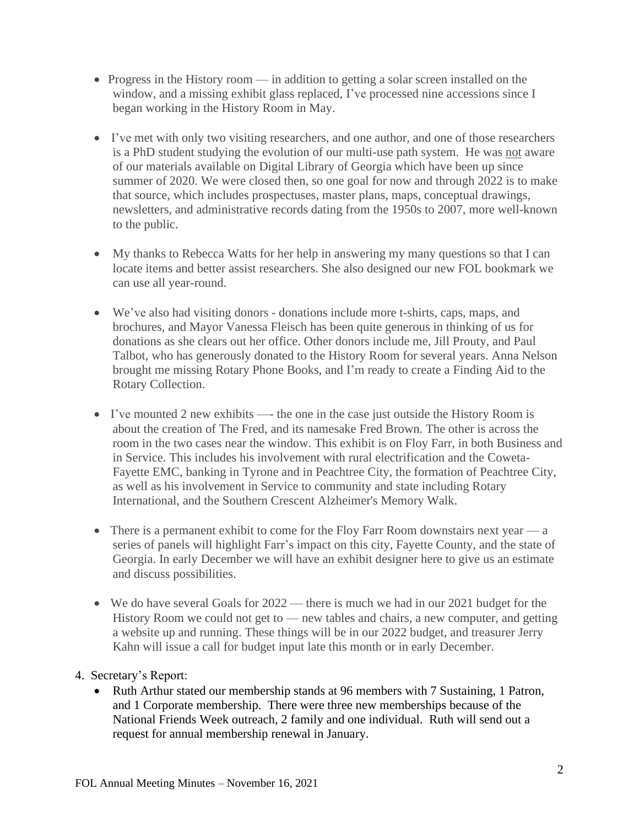- Progress in the History room in addition to getting a solar screen installed on the window, and a missing exhibit glass replaced, I've processed nine accessions since I began working in the History Room in May.
- I've met with only two visiting researchers, and one author, and one of those researchers is a PhD student studying the evolution of our multi-use path system. He was not aware of our materials available on Digital Library of Georgia which have been up since summer of 2020. We were closed then, so one goal for now and through 2022 is to make that source, which includes prospectuses, master plans, maps, conceptual drawings, newsletters, and administrative records dating from the 1950s to 2007, more well-known to the public.
- My thanks to Rebecca Watts for her help in answering my many questions so that I can locate items and better assist researchers. She also designed our new FOL bookmark we can use all year-round.
- We've also had visiting donors donations include more t-shirts, caps, maps, and brochures, and Mayor Vanessa Fleisch has been quite generous in thinking of us for donations as she clears out her office. Other donors include me, Jill Prouty, and Paul Talbot, who has generously donated to the History Room for several years. Anna Nelson brought me missing Rotary Phone Books, and I'm ready to create a Finding Aid to the Rotary Collection.
- I've mounted 2 new exhibits the one in the case just outside the History Room is about the creation of The Fred, and its namesake Fred Brown. The other is across the room in the two cases near the window. This exhibit is on Floy Farr, in both Business and in Service. This includes his involvement with rural electrification and the Coweta-Fayette EMC, banking in Tyrone and in Peachtree City, the formation of Peachtree City, as well as his involvement in Service to community and state including Rotary International, and the Southern Crescent Alzheimer's Memory Walk.
- There is a permanent exhibit to come for the Floy Farr Room downstairs next year  $-a$ series of panels will highlight Farr's impact on this city, Fayette County, and the state of Georgia. In early December we will have an exhibit designer here to give us an estimate and discuss possibilities.
- We do have several Goals for  $2022$  there is much we had in our 2021 budget for the History Room we could not get to — new tables and chairs, a new computer, and getting a website up and running. These things will be in our 2022 budget, and treasurer Jerry Kahn will issue a call for budget input late this month or in early December.

## 4. Secretary's Report:

• Ruth Arthur stated our membership stands at 96 members with 7 Sustaining, 1 Patron, and 1 Corporate membership. There were three new memberships because of the National Friends Week outreach, 2 family and one individual. Ruth will send out a request for annual membership renewal in January.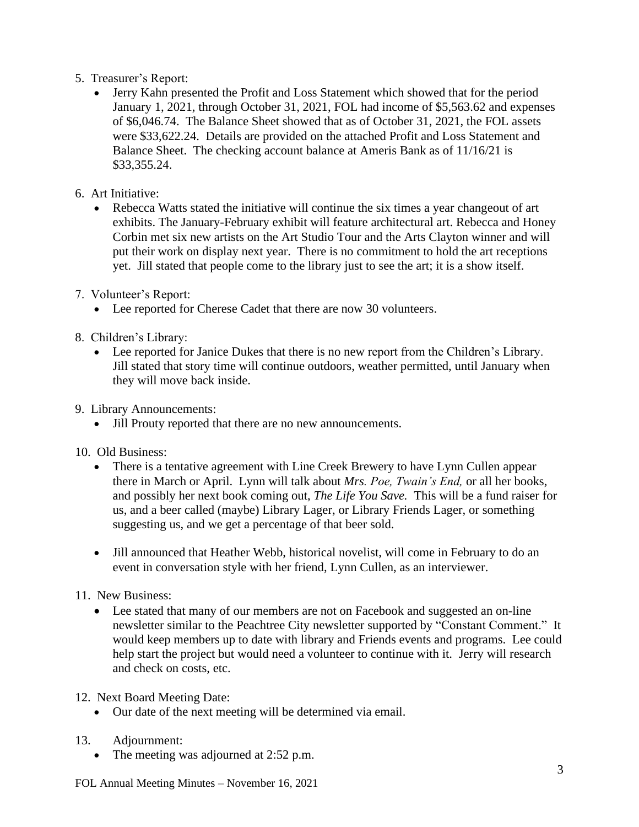- 5. Treasurer's Report:
	- Jerry Kahn presented the Profit and Loss Statement which showed that for the period January 1, 2021, through October 31, 2021, FOL had income of \$5,563.62 and expenses of \$6,046.74. The Balance Sheet showed that as of October 31, 2021, the FOL assets were \$33,622.24. Details are provided on the attached Profit and Loss Statement and Balance Sheet. The checking account balance at Ameris Bank as of 11/16/21 is \$33,355.24.
- 6. Art Initiative:
	- Rebecca Watts stated the initiative will continue the six times a year changeout of art exhibits. The January-February exhibit will feature architectural art. Rebecca and Honey Corbin met six new artists on the Art Studio Tour and the Arts Clayton winner and will put their work on display next year. There is no commitment to hold the art receptions yet. Jill stated that people come to the library just to see the art; it is a show itself.
- 7. Volunteer's Report:
	- Lee reported for Cherese Cadet that there are now 30 volunteers.
- 8. Children's Library:
	- Lee reported for Janice Dukes that there is no new report from the Children's Library. Jill stated that story time will continue outdoors, weather permitted, until January when they will move back inside.
- 9. Library Announcements:
	- Jill Prouty reported that there are no new announcements.
- 10. Old Business:
	- There is a tentative agreement with Line Creek Brewery to have Lynn Cullen appear there in March or April. Lynn will talk about *Mrs. Poe, Twain's End,* or all her books, and possibly her next book coming out, *The Life You Save.* This will be a fund raiser for us, and a beer called (maybe) Library Lager, or Library Friends Lager, or something suggesting us, and we get a percentage of that beer sold.
	- Jill announced that Heather Webb, historical novelist, will come in February to do an event in conversation style with her friend, Lynn Cullen, as an interviewer.

## 11. New Business:

- Lee stated that many of our members are not on Facebook and suggested an on-line newsletter similar to the Peachtree City newsletter supported by "Constant Comment." It would keep members up to date with library and Friends events and programs. Lee could help start the project but would need a volunteer to continue with it. Jerry will research and check on costs, etc.
- 12. Next Board Meeting Date:
	- Our date of the next meeting will be determined via email.
- 13. Adjournment:
	- The meeting was adjourned at 2:52 p.m.